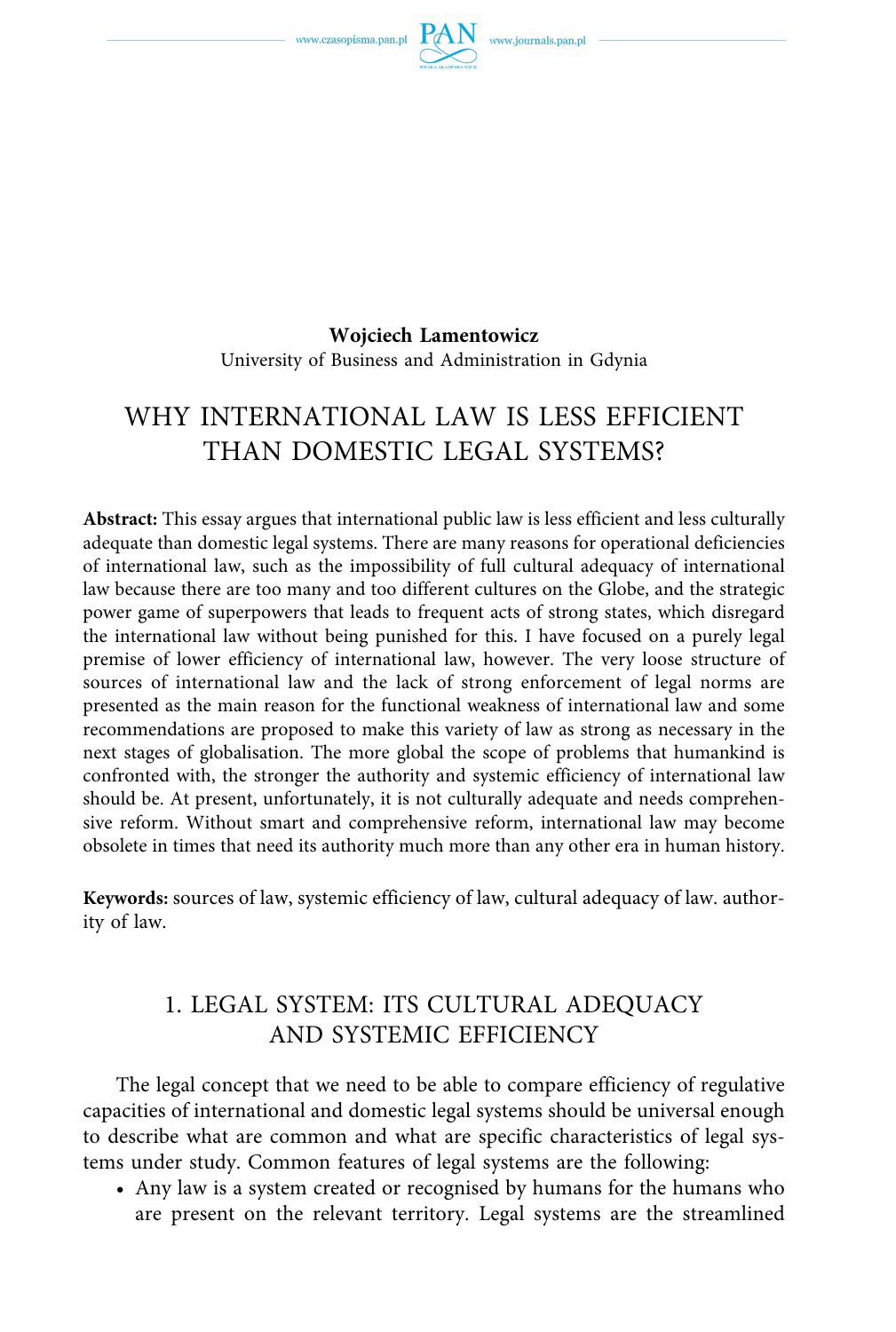

**Wojciech Lamentowicz**  University of Business and Administration in Gdynia

# WHY INTERNATIONAL LAW IS LESS EFFICIENT THAN DOMESTIC LEGAL SYSTEMS?

**Abstract:** This essay argues that international public law is less efficient and less culturally adequate than domestic legal systems. There are many reasons for operational deficiencies of international law, such as the impossibility of full cultural adequacy of international law because there are too many and too different cultures on the Globe, and the strategic power game of superpowers that leads to frequent acts of strong states, which disregard the international law without being punished for this. I have focused on a purely legal premise of lower efficiency of international law, however. The very loose structure of sources of international law and the lack of strong enforcement of legal norms are presented as the main reason for the functional weakness of international law and some recommendations are proposed to make this variety of law as strong as necessary in the next stages of globalisation. The more global the scope of problems that humankind is confronted with, the stronger the authority and systemic efficiency of international law should be. At present, unfortunately, it is not culturally adequate and needs comprehensive reform. Without smart and comprehensive reform, international law may become obsolete in times that need its authority much more than any other era in human history.

**Keywords:** sources of law, systemic efficiency of law, cultural adequacy of law. authority of law.

## 1. LEGAL SYSTEM: ITS CULTURAL ADEQUACY AND SYSTEMIC EFFICIENCY

The legal concept that we need to be able to compare efficiency of regulative capacities of international and domestic legal systems should be universal enough to describe what are common and what are specific characteristics of legal systems under study. Common features of legal systems are the following:

• Any law is a system created or recognised by humans for the humans who are present on the relevant territory. Legal systems are the streamlined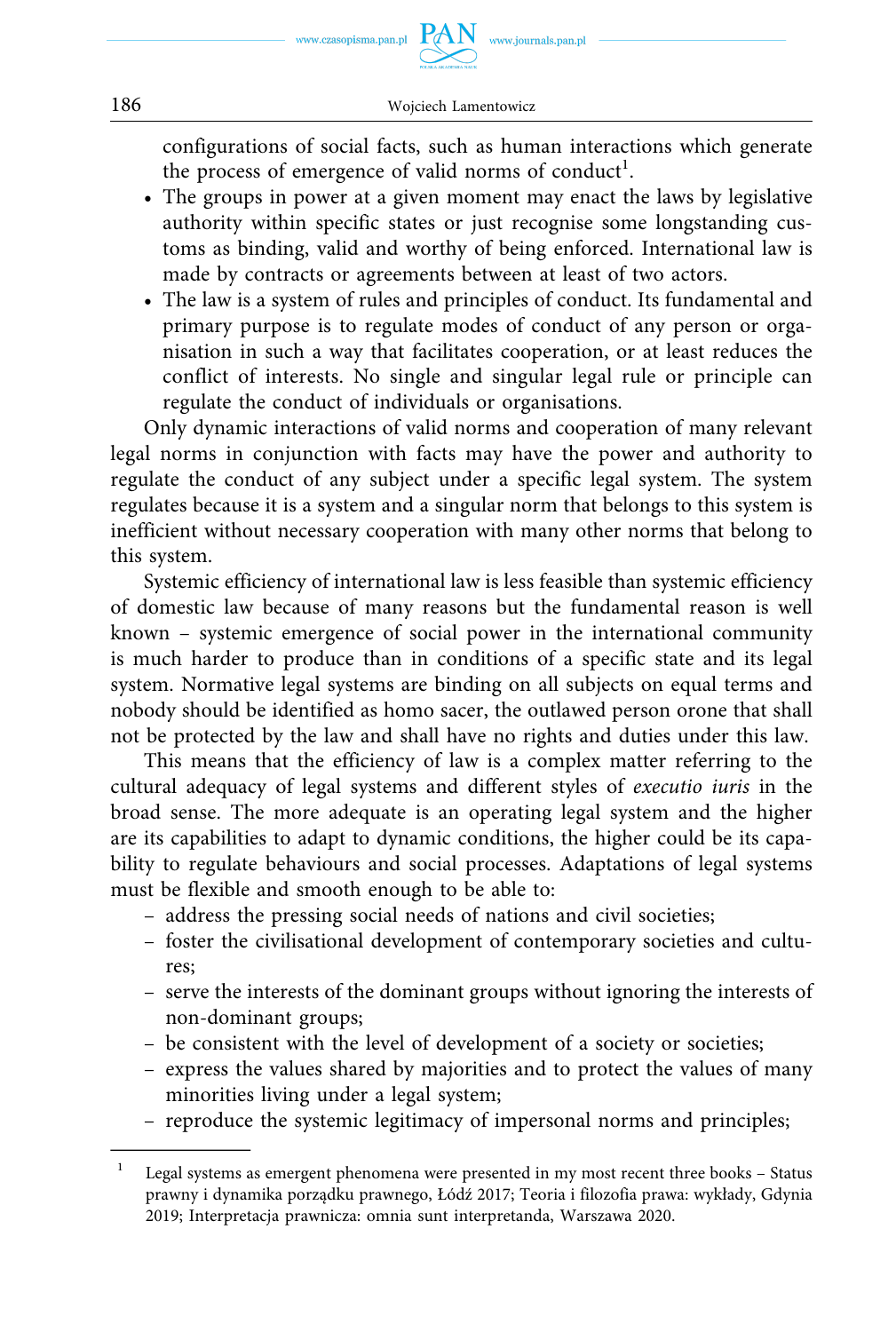configurations of social facts, such as human interactions which generate the process of emergence of valid norms of conduct<sup>1</sup>.

- The groups in power at a given moment may enact the laws by legislative authority within specific states or just recognise some longstanding customs as binding, valid and worthy of being enforced. International law is made by contracts or agreements between at least of two actors.
- The law is a system of rules and principles of conduct. Its fundamental and primary purpose is to regulate modes of conduct of any person or organisation in such a way that facilitates cooperation, or at least reduces the conflict of interests. No single and singular legal rule or principle can regulate the conduct of individuals or organisations.

Only dynamic interactions of valid norms and cooperation of many relevant legal norms in conjunction with facts may have the power and authority to regulate the conduct of any subject under a specific legal system. The system regulates because it is a system and a singular norm that belongs to this system is inefficient without necessary cooperation with many other norms that belong to this system.

Systemic efficiency of international law is less feasible than systemic efficiency of domestic law because of many reasons but the fundamental reason is well known – systemic emergence of social power in the international community is much harder to produce than in conditions of a specific state and its legal system. Normative legal systems are binding on all subjects on equal terms and nobody should be identified as homo sacer, the outlawed person orone that shall not be protected by the law and shall have no rights and duties under this law.

This means that the efficiency of law is a complex matter referring to the cultural adequacy of legal systems and different styles of *executio iuris* in the broad sense. The more adequate is an operating legal system and the higher are its capabilities to adapt to dynamic conditions, the higher could be its capability to regulate behaviours and social processes. Adaptations of legal systems must be flexible and smooth enough to be able to:

- address the pressing social needs of nations and civil societies;
- foster the civilisational development of contemporary societies and cultures;
- serve the interests of the dominant groups without ignoring the interests of non-dominant groups;
- be consistent with the level of development of a society or societies;
- express the values shared by majorities and to protect the values of many minorities living under a legal system;
- reproduce the systemic legitimacy of impersonal norms and principles;

 $1$  Legal systems as emergent phenomena were presented in my most recent three books – Status prawny i dynamika porządku prawnego, Łódź 2017; Teoria i filozofia prawa: wykłady, Gdynia 2019; Interpretacja prawnicza: omnia sunt interpretanda, Warszawa 2020.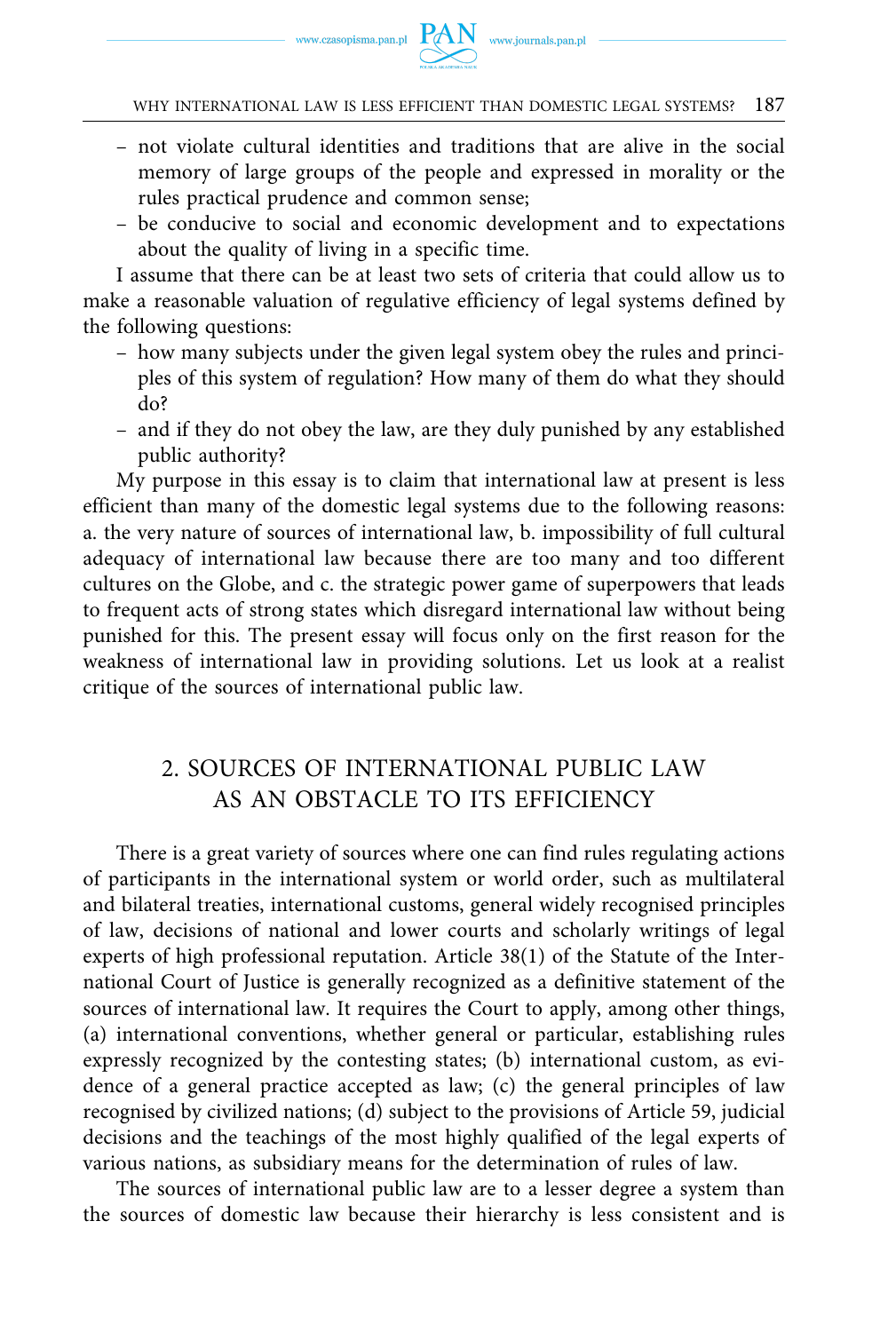WHY INTERNATIONAL LAW IS LESS EFFICIENT THAN DOMESTIC LEGAL SYSTEMS? 187

- not violate cultural identities and traditions that are alive in the social memory of large groups of the people and expressed in morality or the rules practical prudence and common sense;
- be conducive to social and economic development and to expectations about the quality of living in a specific time.

I assume that there can be at least two sets of criteria that could allow us to make a reasonable valuation of regulative efficiency of legal systems defined by the following questions:

- how many subjects under the given legal system obey the rules and principles of this system of regulation? How many of them do what they should do?
- and if they do not obey the law, are they duly punished by any established public authority?

My purpose in this essay is to claim that international law at present is less efficient than many of the domestic legal systems due to the following reasons: a. the very nature of sources of international law, b. impossibility of full cultural adequacy of international law because there are too many and too different cultures on the Globe, and c. the strategic power game of superpowers that leads to frequent acts of strong states which disregard international law without being punished for this. The present essay will focus only on the first reason for the weakness of international law in providing solutions. Let us look at a realist critique of the sources of international public law.

## 2. SOURCES OF INTERNATIONAL PUBLIC LAW AS AN OBSTACLE TO ITS EFFICIENCY

There is a great variety of sources where one can find rules regulating actions of participants in the international system or world order, such as multilateral and bilateral treaties, international customs, general widely recognised principles of law, decisions of national and lower courts and scholarly writings of legal experts of high professional reputation. Article 38(1) of the Statute of the International Court of Justice is generally recognized as a definitive statement of the sources of international law. It requires the Court to apply, among other things, (a) international conventions, whether general or particular, establishing rules expressly recognized by the contesting states; (b) international custom, as evidence of a general practice accepted as law; (c) the general principles of law recognised by civilized nations; (d) subject to the provisions of Article 59, judicial decisions and the teachings of the most highly qualified of the legal experts of various nations, as subsidiary means for the determination of rules of law.

The sources of international public law are to a lesser degree a system than the sources of domestic law because their hierarchy is less consistent and is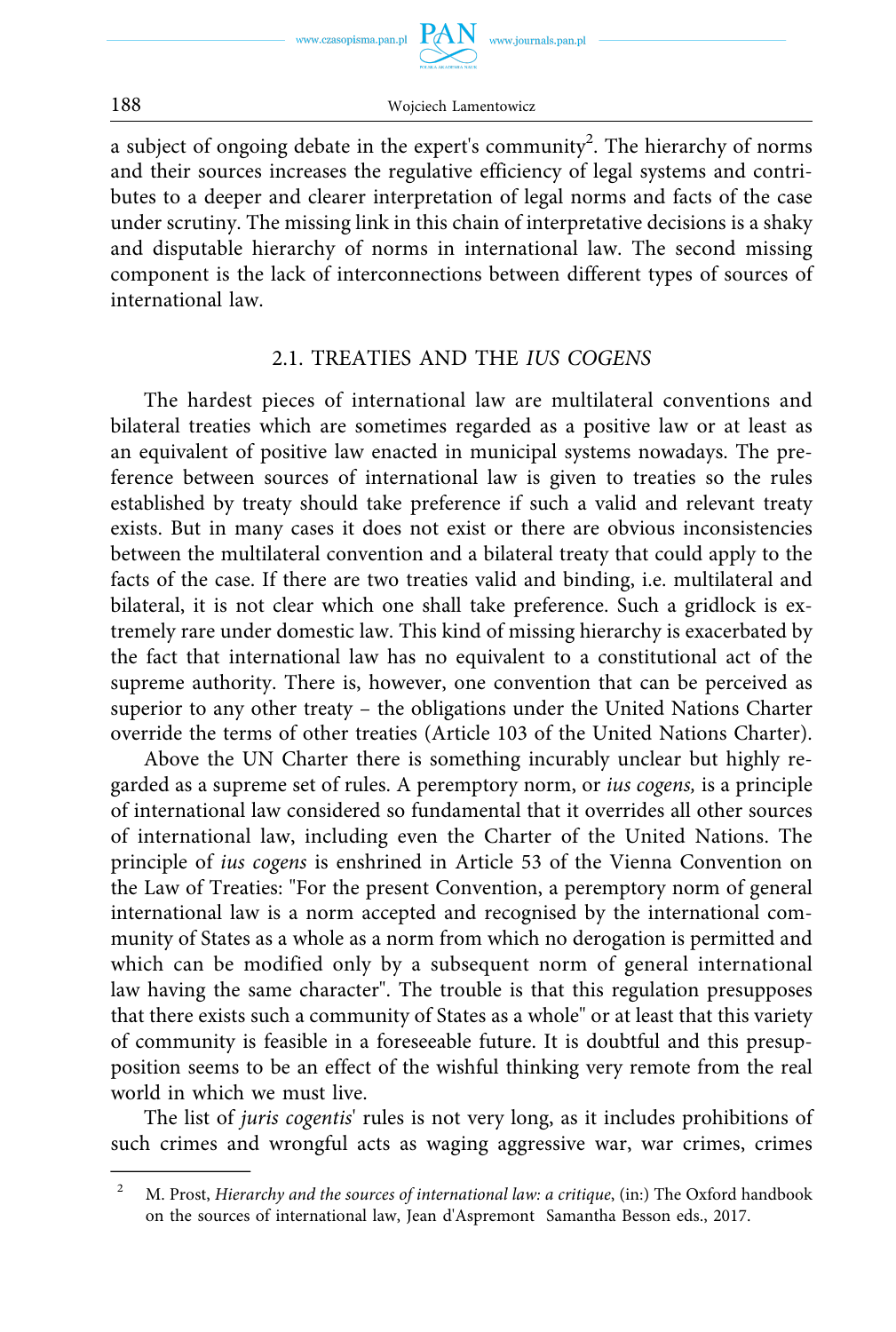

188 Wojciech Lamentowicz

a subject of ongoing debate in the expert's community<sup>2</sup>. The hierarchy of norms and their sources increases the regulative efficiency of legal systems and contributes to a deeper and clearer interpretation of legal norms and facts of the case under scrutiny. The missing link in this chain of interpretative decisions is a shaky and disputable hierarchy of norms in international law. The second missing component is the lack of interconnections between different types of sources of international law.

#### 2.1. TREATIES AND THE *IUS COGENS*

The hardest pieces of international law are multilateral conventions and bilateral treaties which are sometimes regarded as a positive law or at least as an equivalent of positive law enacted in municipal systems nowadays. The preference between sources of international law is given to treaties so the rules established by treaty should take preference if such a valid and relevant treaty exists. But in many cases it does not exist or there are obvious inconsistencies between the multilateral convention and a bilateral treaty that could apply to the facts of the case. If there are two treaties valid and binding, i.e. multilateral and bilateral, it is not clear which one shall take preference. Such a gridlock is extremely rare under domestic law. This kind of missing hierarchy is exacerbated by the fact that international law has no equivalent to a constitutional act of the supreme authority. There is, however, one convention that can be perceived as superior to any other treaty – the obligations under the United Nations Charter override the terms of other treaties (Article 103 of the United Nations Charter).

Above the UN Charter there is something incurably unclear but highly regarded as a supreme set of rules. A peremptory norm, or *ius cogens,* is a principle of international law considered so fundamental that it overrides all other sources of international law, including even the Charter of the United Nations. The principle of *ius cogens* is enshrined in Article 53 of the Vienna Convention on the Law of Treaties: "For the present Convention, a peremptory norm of general international law is a norm accepted and recognised by the international community of States as a whole as a norm from which no derogation is permitted and which can be modified only by a subsequent norm of general international law having the same character". The trouble is that this regulation presupposes that there exists such a community of States as a whole" or at least that this variety of community is feasible in a foreseeable future. It is doubtful and this presupposition seems to be an effect of the wishful thinking very remote from the real world in which we must live.

The list of *juris cogentis*' rules is not very long, as it includes prohibitions of such crimes and wrongful acts as waging aggressive war, war crimes, crimes

<sup>&</sup>lt;sup>2</sup> M. Prost, *Hierarchy and the sources of international law: a critique*, (in:) The Oxford handbook on the sources of international law, Jean d'Aspremont Samantha Besson eds., 2017.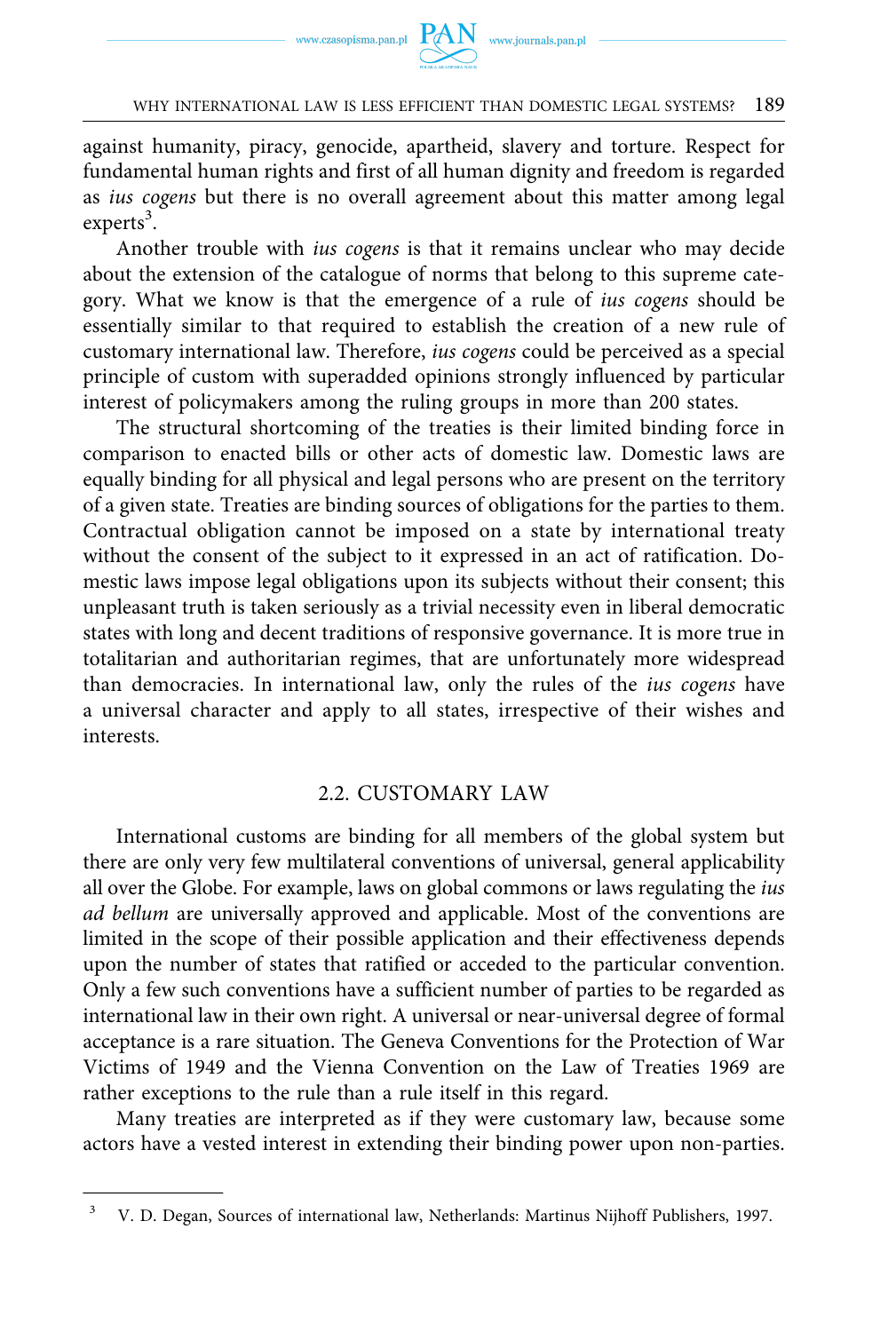

#### WHY INTERNATIONAL LAW IS LESS EFFICIENT THAN DOMESTIC LEGAL SYSTEMS? 189

against humanity, piracy, genocide, apartheid, slavery and torture. Respect for fundamental human rights and first of all human dignity and freedom is regarded as *ius cogens* but there is no overall agreement about this matter among legal experts<sup>3</sup>.

Another trouble with *ius cogens* is that it remains unclear who may decide about the extension of the catalogue of norms that belong to this supreme category. What we know is that the emergence of a rule of *ius cogens* should be essentially similar to that required to establish the creation of a new rule of customary international law. Therefore, *ius cogens* could be perceived as a special principle of custom with superadded opinions strongly influenced by particular interest of policymakers among the ruling groups in more than 200 states.

The structural shortcoming of the treaties is their limited binding force in comparison to enacted bills or other acts of domestic law. Domestic laws are equally binding for all physical and legal persons who are present on the territory of a given state. Treaties are binding sources of obligations for the parties to them. Contractual obligation cannot be imposed on a state by international treaty without the consent of the subject to it expressed in an act of ratification. Domestic laws impose legal obligations upon its subjects without their consent; this unpleasant truth is taken seriously as a trivial necessity even in liberal democratic states with long and decent traditions of responsive governance. It is more true in totalitarian and authoritarian regimes, that are unfortunately more widespread than democracies. In international law, only the rules of the *ius cogens* have a universal character and apply to all states, irrespective of their wishes and interests.

#### 2.2. CUSTOMARY LAW

International customs are binding for all members of the global system but there are only very few multilateral conventions of universal, general applicability all over the Globe. For example, laws on global commons or laws regulating the *ius ad bellum* are universally approved and applicable. Most of the conventions are limited in the scope of their possible application and their effectiveness depends upon the number of states that ratified or acceded to the particular convention. Only a few such conventions have a sufficient number of parties to be regarded as international law in their own right. A universal or near-universal degree of formal acceptance is a rare situation. The Geneva Conventions for the Protection of War Victims of 1949 and the Vienna Convention on the Law of Treaties 1969 are rather exceptions to the rule than a rule itself in this regard.

Many treaties are interpreted as if they were customary law, because some actors have a vested interest in extending their binding power upon non-parties.

<sup>3</sup> V. D. Degan, Sources of international law, Netherlands: Martinus Nijhoff Publishers, 1997.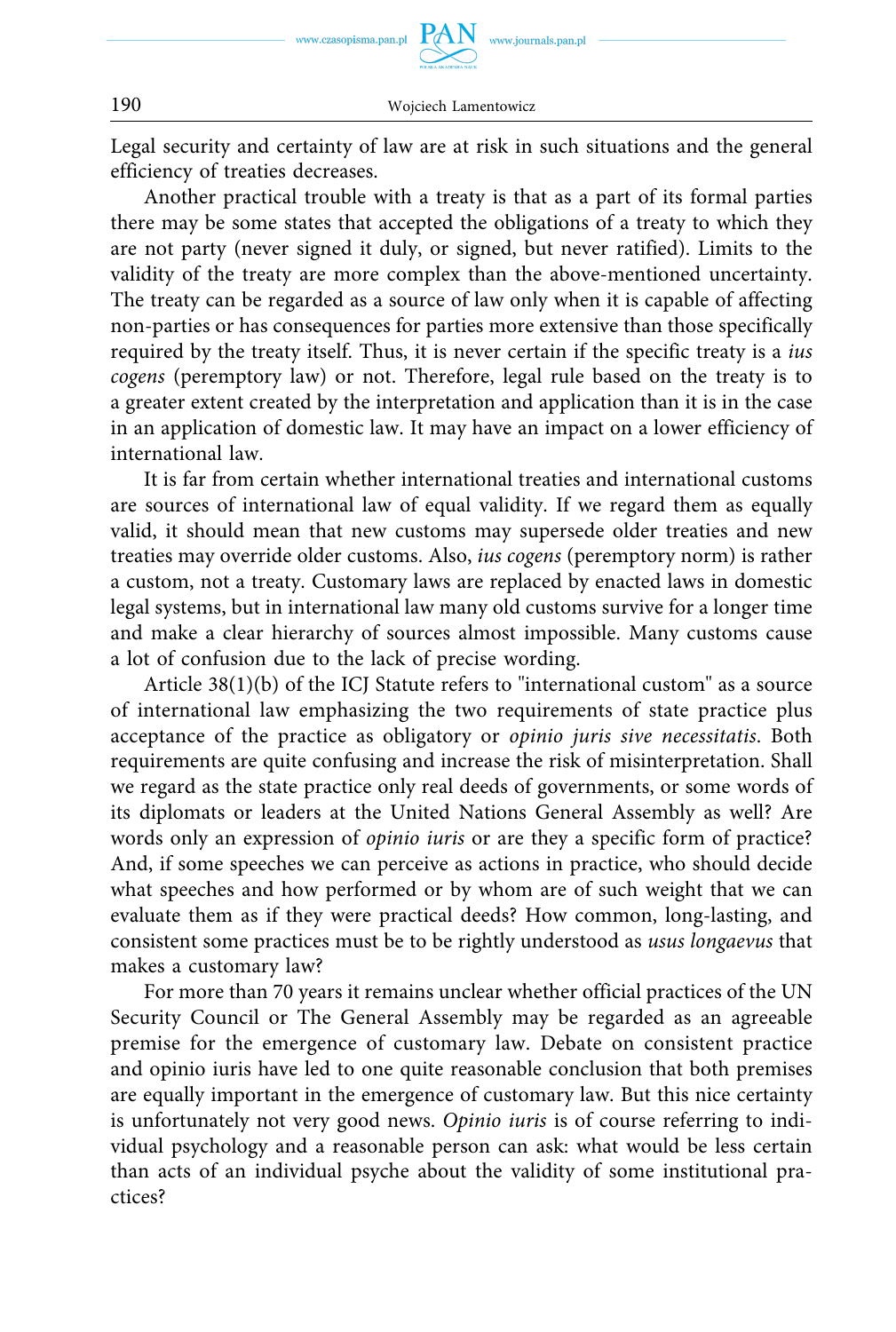Legal security and certainty of law are at risk in such situations and the general efficiency of treaties decreases.

Another practical trouble with a treaty is that as a part of its formal parties there may be some states that accepted the obligations of a treaty to which they are not party (never signed it duly, or signed, but never ratified). Limits to the validity of the treaty are more complex than the above-mentioned uncertainty. The treaty can be regarded as a source of law only when it is capable of affecting non-parties or has consequences for parties more extensive than those specifically required by the treaty itself. Thus, it is never certain if the specific treaty is a *ius cogens* (peremptory law) or not. Therefore, legal rule based on the treaty is to a greater extent created by the interpretation and application than it is in the case in an application of domestic law. It may have an impact on a lower efficiency of international law.

It is far from certain whether international treaties and international customs are sources of international law of equal validity. If we regard them as equally valid, it should mean that new customs may supersede older treaties and new treaties may override older customs. Also, *ius cogens* (peremptory norm) is rather a custom, not a treaty. Customary laws are replaced by enacted laws in domestic legal systems, but in international law many old customs survive for a longer time and make a clear hierarchy of sources almost impossible. Many customs cause a lot of confusion due to the lack of precise wording.

Article 38(1)(b) of the ICJ Statute refers to "international custom" as a source of international law emphasizing the two requirements of state practice plus acceptance of the practice as obligatory or *opinio juris sive necessitatis*. Both requirements are quite confusing and increase the risk of misinterpretation. Shall we regard as the state practice only real deeds of governments, or some words of its diplomats or leaders at the United Nations General Assembly as well? Are words only an expression of *opinio iuris* or are they a specific form of practice? And, if some speeches we can perceive as actions in practice, who should decide what speeches and how performed or by whom are of such weight that we can evaluate them as if they were practical deeds? How common, long-lasting, and consistent some practices must be to be rightly understood as *usus longaevus* that makes a customary law?

For more than 70 years it remains unclear whether official practices of the UN Security Council or The General Assembly may be regarded as an agreeable premise for the emergence of customary law. Debate on consistent practice and opinio iuris have led to one quite reasonable conclusion that both premises are equally important in the emergence of customary law. But this nice certainty is unfortunately not very good news. *Opinio iuris* is of course referring to individual psychology and a reasonable person can ask: what would be less certain than acts of an individual psyche about the validity of some institutional practices?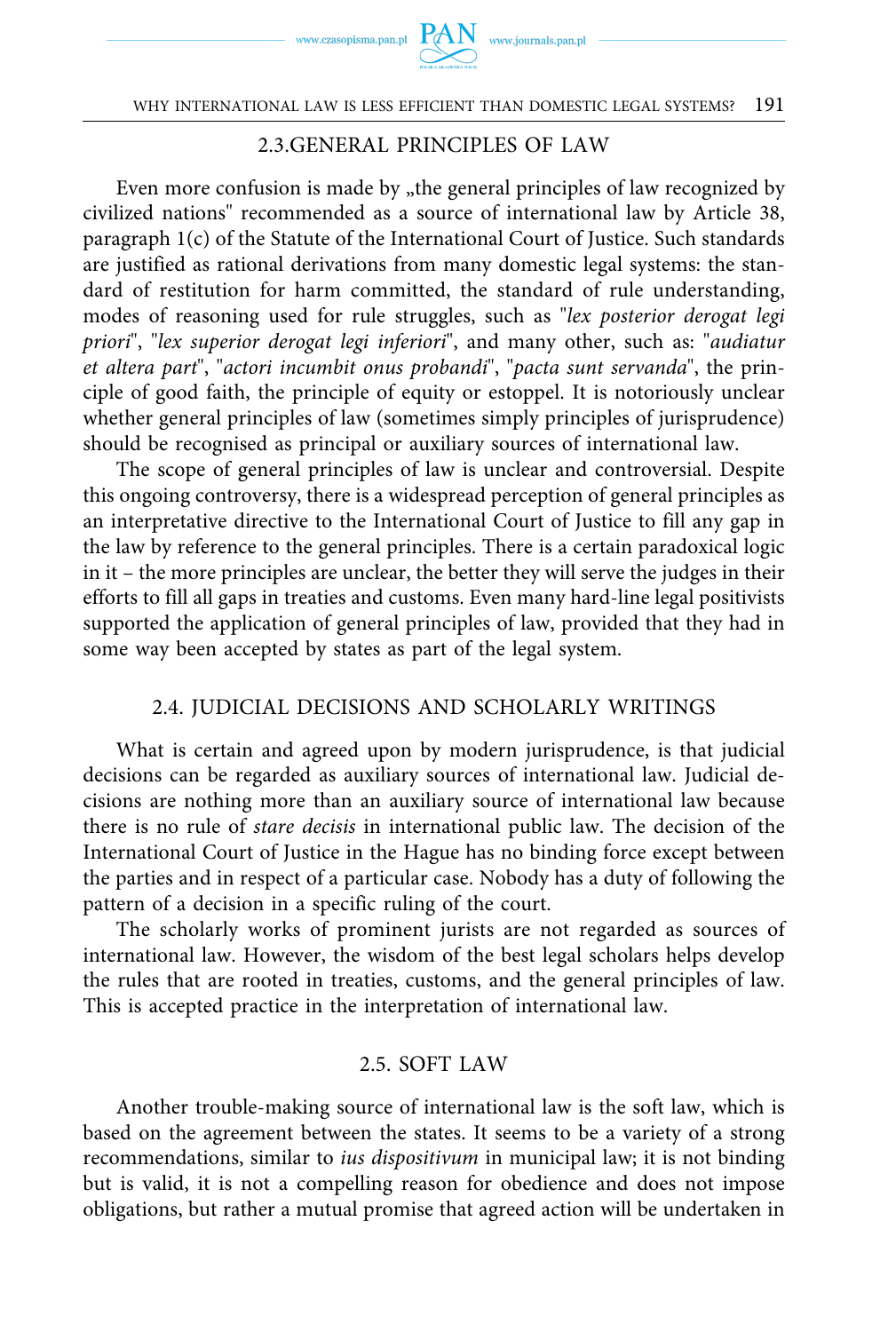

#### 2.3.GENERAL PRINCIPLES OF LAW

Even more confusion is made by "the general principles of law recognized by civilized nations" recommended as a source of international law by Article 38, paragraph 1(c) of the Statute of the International Court of Justice. Such standards are justified as rational derivations from many domestic legal systems: the standard of restitution for harm committed, the standard of rule understanding, modes of reasoning used for rule struggles, such as "*lex posterior derogat legi priori*", "*lex superior derogat legi inferiori*", and many other, such as: "*audiatur et altera part*", "*actori incumbit onus probandi*", "*pacta sunt servanda*", the principle of good faith, the principle of equity or estoppel. It is notoriously unclear whether general principles of law (sometimes simply principles of jurisprudence) should be recognised as principal or auxiliary sources of international law.

The scope of general principles of law is unclear and controversial. Despite this ongoing controversy, there is a widespread perception of general principles as an interpretative directive to the International Court of Justice to fill any gap in the law by reference to the general principles. There is a certain paradoxical logic in it – the more principles are unclear, the better they will serve the judges in their efforts to fill all gaps in treaties and customs. Even many hard-line legal positivists supported the application of general principles of law, provided that they had in some way been accepted by states as part of the legal system.

#### 2.4. JUDICIAL DECISIONS AND SCHOLARLY WRITINGS

What is certain and agreed upon by modern jurisprudence, is that judicial decisions can be regarded as auxiliary sources of international law. Judicial decisions are nothing more than an auxiliary source of international law because there is no rule of *stare decisis* in international public law. The decision of the International Court of Justice in the Hague has no binding force except between the parties and in respect of a particular case. Nobody has a duty of following the pattern of a decision in a specific ruling of the court.

The scholarly works of prominent jurists are not regarded as sources of international law. However, the wisdom of the best legal scholars helps develop the rules that are rooted in treaties, customs, and the general principles of law. This is accepted practice in the interpretation of international law.

#### 2.5. SOFT LAW

Another trouble-making source of international law is the soft law, which is based on the agreement between the states. It seems to be a variety of a strong recommendations, similar to *ius dispositivum* in municipal law; it is not binding but is valid, it is not a compelling reason for obedience and does not impose obligations, but rather a mutual promise that agreed action will be undertaken in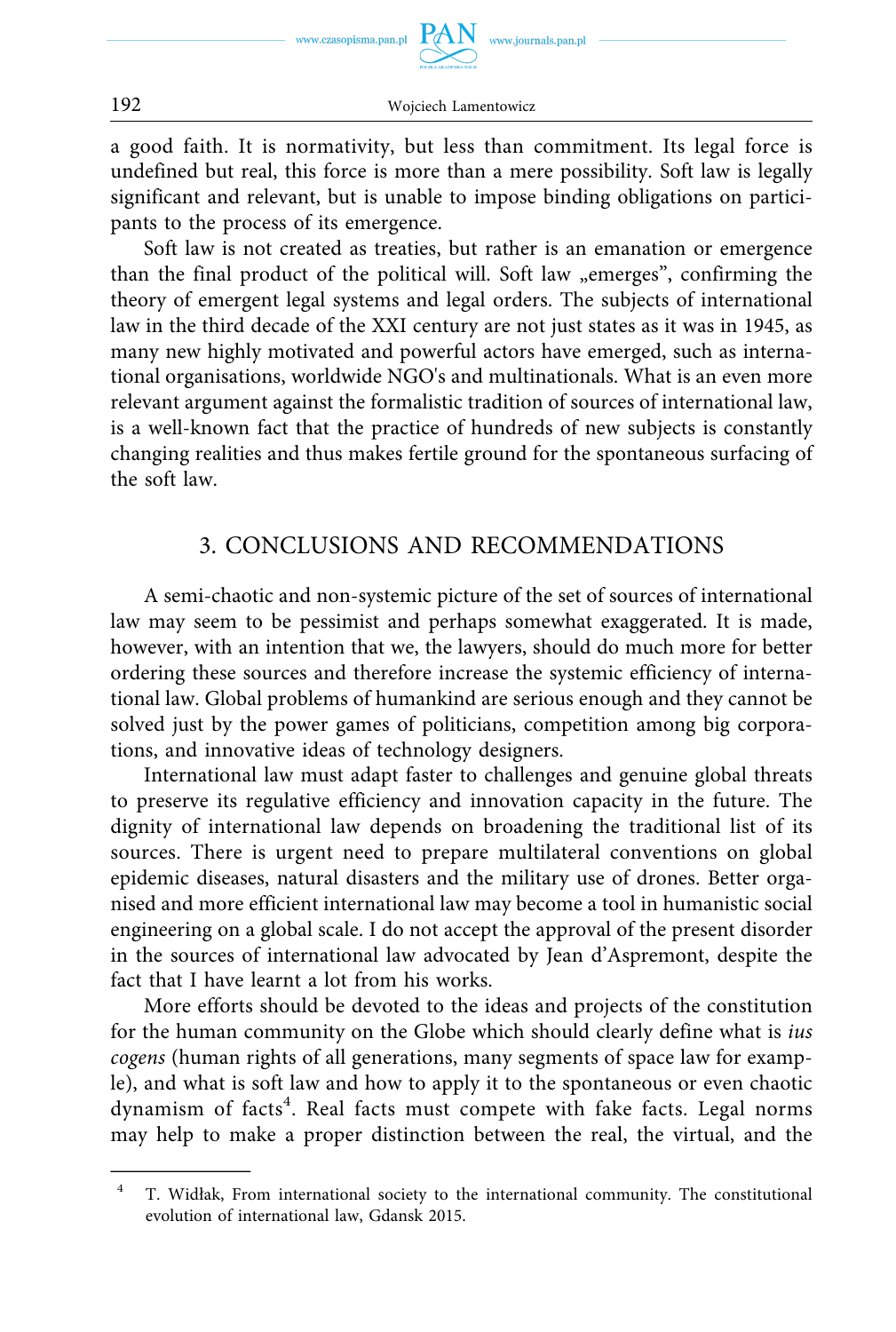a good faith. It is normativity, but less than commitment. Its legal force is undefined but real, this force is more than a mere possibility. Soft law is legally significant and relevant, but is unable to impose binding obligations on participants to the process of its emergence.

Soft law is not created as treaties, but rather is an emanation or emergence than the final product of the political will. Soft law "emerges", confirming the theory of emergent legal systems and legal orders. The subjects of international law in the third decade of the XXI century are not just states as it was in 1945, as many new highly motivated and powerful actors have emerged, such as international organisations, worldwide NGO's and multinationals. What is an even more relevant argument against the formalistic tradition of sources of international law, is a well-known fact that the practice of hundreds of new subjects is constantly changing realities and thus makes fertile ground for the spontaneous surfacing of the soft law.

### 3. CONCLUSIONS AND RECOMMENDATIONS

A semi-chaotic and non-systemic picture of the set of sources of international law may seem to be pessimist and perhaps somewhat exaggerated. It is made, however, with an intention that we, the lawyers, should do much more for better ordering these sources and therefore increase the systemic efficiency of international law. Global problems of humankind are serious enough and they cannot be solved just by the power games of politicians, competition among big corporations, and innovative ideas of technology designers.

International law must adapt faster to challenges and genuine global threats to preserve its regulative efficiency and innovation capacity in the future. The dignity of international law depends on broadening the traditional list of its sources. There is urgent need to prepare multilateral conventions on global epidemic diseases, natural disasters and the military use of drones. Better organised and more efficient international law may become a tool in humanistic social engineering on a global scale. I do not accept the approval of the present disorder in the sources of international law advocated by Jean d'Aspremont, despite the fact that I have learnt a lot from his works.

More efforts should be devoted to the ideas and projects of the constitution for the human community on the Globe which should clearly define what is *ius cogens* (human rights of all generations, many segments of space law for example), and what is soft law and how to apply it to the spontaneous or even chaotic dynamism of facts<sup>4</sup>. Real facts must compete with fake facts. Legal norms may help to make a proper distinction between the real, the virtual, and the

<sup>4</sup> T. Widłak, From international society to the international community. The constitutional evolution of international law, Gdansk 2015.